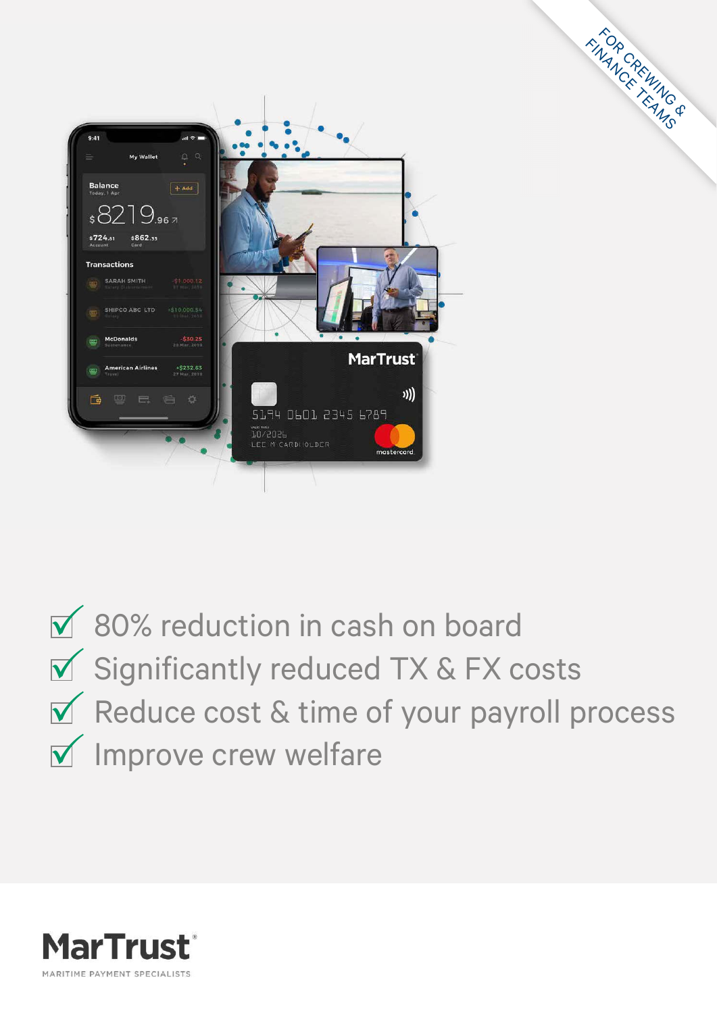

 $\overline{M}$  80% reduction in cash on board  $\overline{\mathbf{y}}$  Significantly reduced TX & FX costs  $\sqrt{\phantom{a}}$  Reduce cost & time of your payroll process  $\sqrt{ }$  Improve crew welfare

FOR CREWING & FINANCREWING

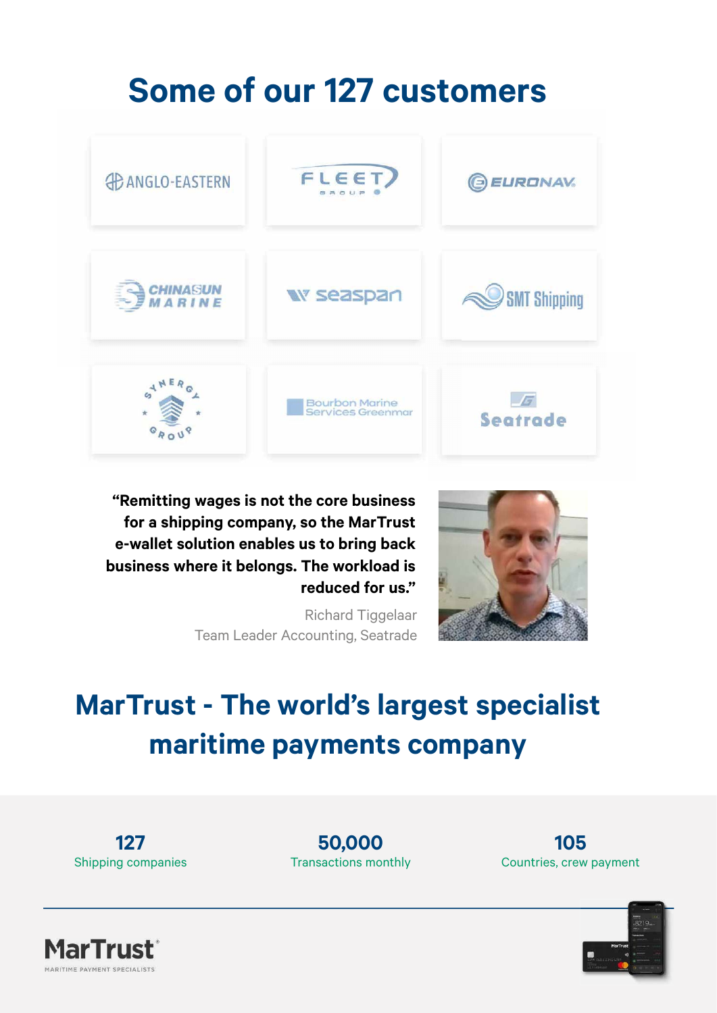### **Some of our 127 customers**



 **"Remitting wages is not the core business for a shipping company, so the MarTrust e-wallet solution enables us to bring back business where it belongs. The workload is reduced for us."**

> Richard Tiggelaar Team Leader Accounting, Seatrade



### **MarTrust - The world's largest specialist maritime payments company**

**127** Shipping companies

**50,000** Transactions monthly





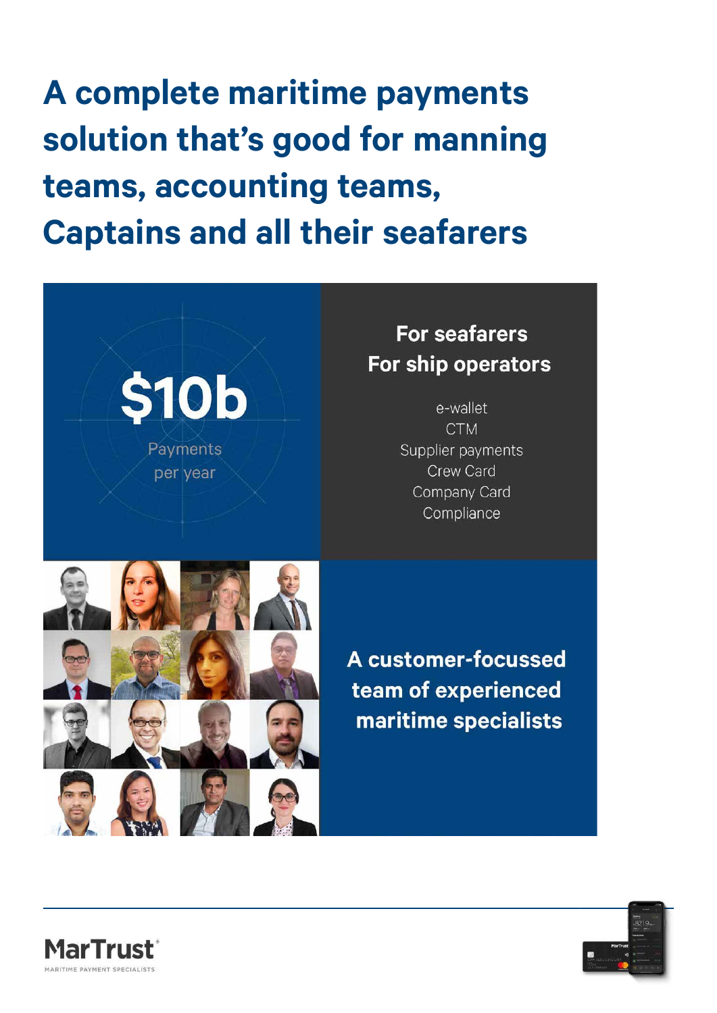**A complete maritime payments solution that's good for manning teams, accounting teams, Captains and all their seafarers**

> **\$10b** Payments per year

#### **For seafarers** For ship operators

e-wallet **CTM** Supplier payments Crew Card Company Card Compliance



A customer-focussed team of experienced maritime specialists



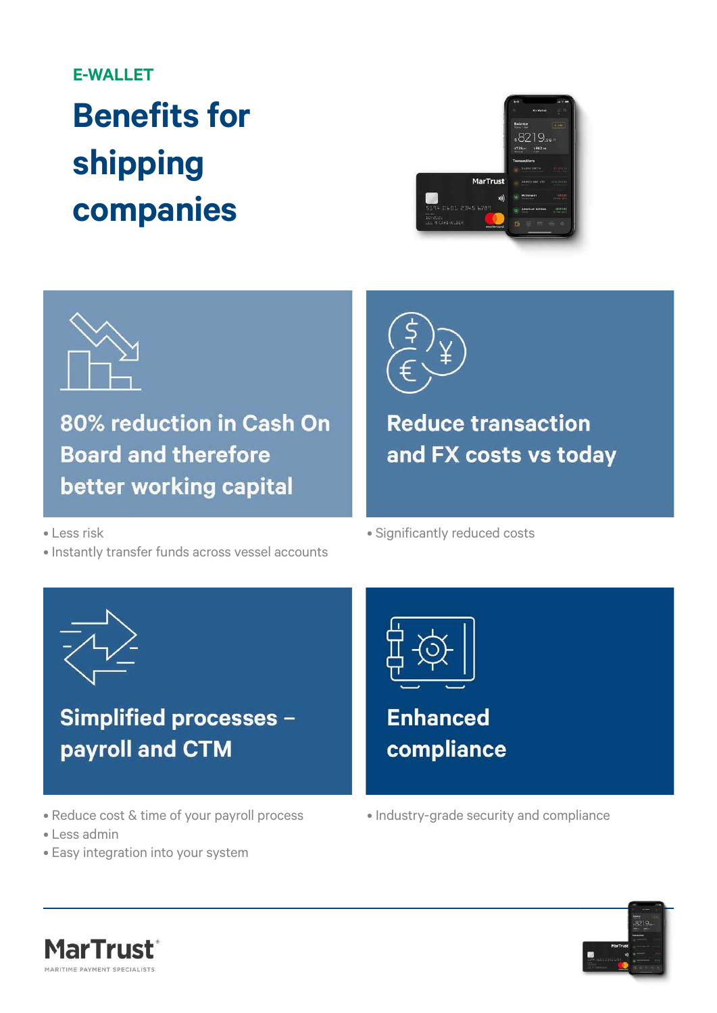#### **E-WALLET**

## **Benefits for shipping companies**





80% reduction in Cash On **Board and therefore** better working capital



**Reduce transaction** and FX costs vs today

• Less risk

• Instantly transfer funds across vessel accounts



**Simplified processes** payroll and CTM

- Reduce cost & time of your payroll process
- Less admin
- Easy integration into your system



• Significantly reduced costs

**Enhanced** compliance

• Industry-grade security and compliance



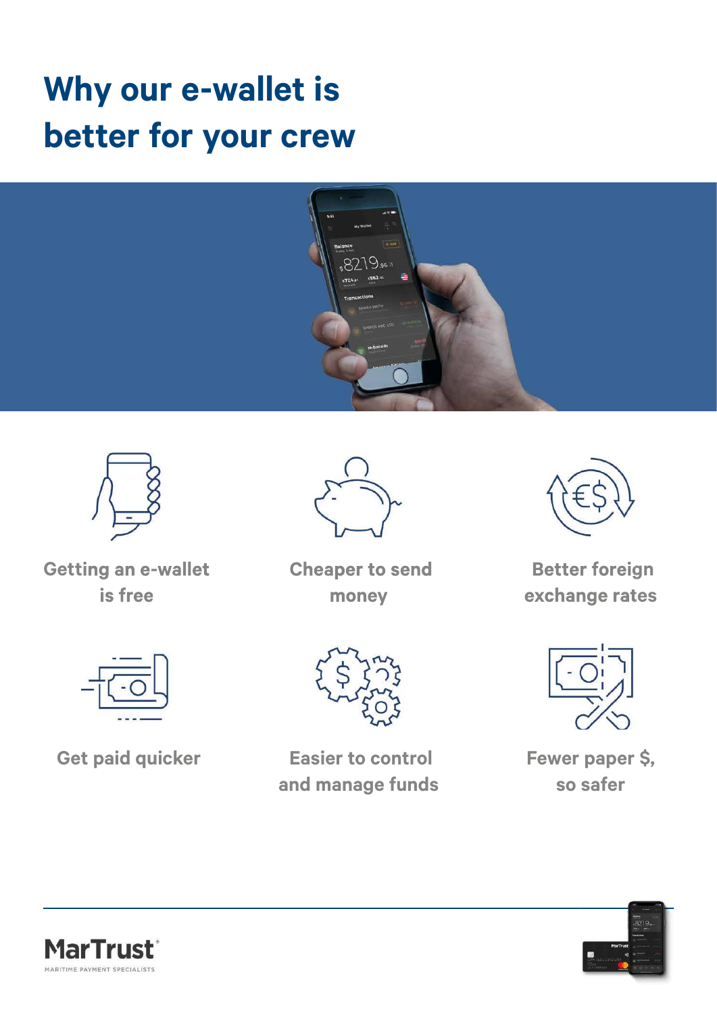### **Why our e-wallet is better for your crew**







 **Cheaper to send money**



 **Better foreign exchange rates**



 **Get paid quicker**



 **Easier to control and manage funds**



**Fewer paper \$, so safer**



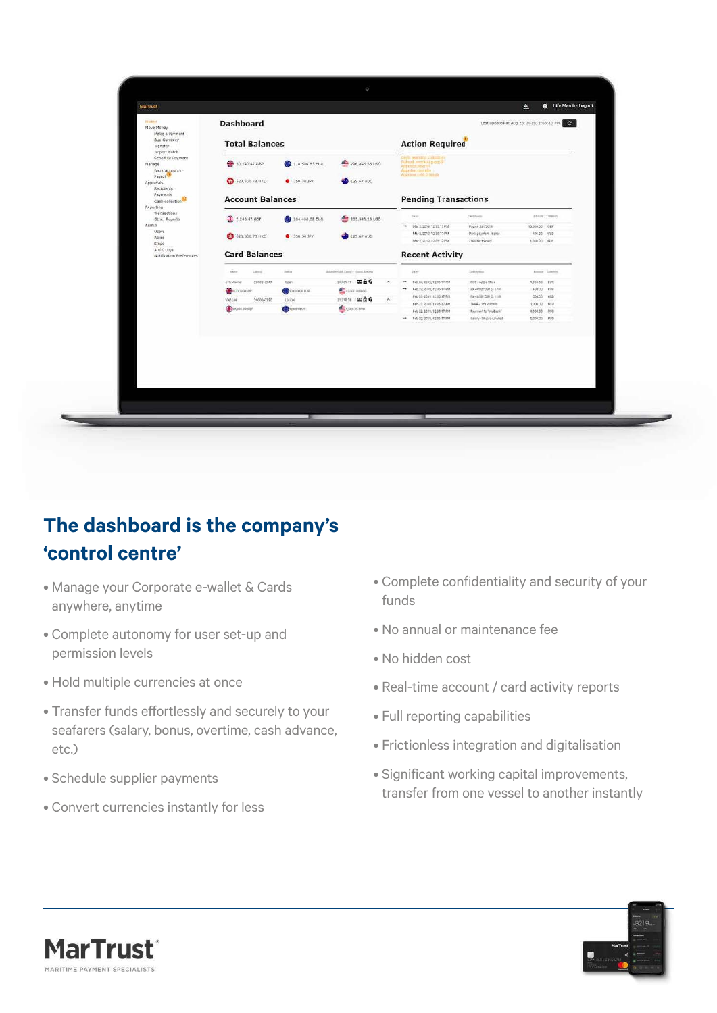|                                                                                                   |                                 |                          |                                     |                                                                                                   |                                            | e Life March - Logout                     |  |
|---------------------------------------------------------------------------------------------------|---------------------------------|--------------------------|-------------------------------------|---------------------------------------------------------------------------------------------------|--------------------------------------------|-------------------------------------------|--|
| <b>Martrust</b>                                                                                   |                                 |                          |                                     |                                                                                                   |                                            | ▵                                         |  |
| <b>Hittmet</b><br>Move Money<br>Make a Payment<br><b>Buy Currency</b><br>Transfer<br>Import Batch | <b>Dashboard</b>                |                          |                                     |                                                                                                   |                                            | Last updated at Aug 28, 2019, 2:06:10 PM. |  |
|                                                                                                   | <b>Total Balances</b>           |                          |                                     | <b>Action Required</b>                                                                            |                                            |                                           |  |
| Schedule Payment<br>Manage<br><b>Bank Accounts</b>                                                | \$ 30,240.47 GBP                | 114,504.53 EUR           | 276,846,58 USO                      | Subrett' permistri stavori<br>Attituded poemit.<br>American Committee<br>Accounts (650-ciliameter |                                            |                                           |  |
| Payroll<br>Approvals<br>Recipients                                                                | 523.500.78 HKD                  | 9 350.34 JPY             | 125.67 AUD                          |                                                                                                   |                                            |                                           |  |
| Payments<br>Cash collection<br>Reporting                                                          | <b>Account Balances</b>         |                          |                                     | <b>Pending Transactions</b>                                                                       |                                            |                                           |  |
| Transactions<br>Other Reports                                                                     | <b>卷 2.240.47 GBP</b>           | 204.400.52 EUR           | 263,340.23 USD                      | tias:                                                                                             | Crembbell                                  | Annex, Steway                             |  |
| Admin                                                                                             |                                 |                          |                                     | - Mar 2, 2019, 12:35:17 PM                                                                        | Payold Jan 2019                            | 15,000.00 08P                             |  |
| <b>Users</b><br>Roles                                                                             | 523.500.78 HKD                  | 350.34 JPY               | 125.67 AUD                          | Mar 2, 2019, 12:35 17 PM                                                                          | Bank payment - bome                        | 400.00 030                                |  |
| Ships                                                                                             |                                 |                          |                                     | Mar 2, 2019, 12:35:17 PM                                                                          | Transfer to card                           | 1,000.00 夜调                               |  |
| Audit Logs<br>Notification Preferences                                                            | <b>Card Balances</b>            |                          |                                     | <b>Recent Activity</b>                                                                            |                                            |                                           |  |
|                                                                                                   | <b>Liettis</b><br><b>Backer</b> | <b>Yokum</b>             | Bilance (tabl Kans) - Garak Artsted | Diem-                                                                                             | Designers.                                 | Allman Jameso                             |  |
|                                                                                                   | Jith Macoin<br>2000012345       | Open                     | 2626511 回自9                         | Feb 24, 2019, 12:35:17 PM<br>$\mathcal{L}(\mathcal{A})$                                           | FOS - Apple Store                          | 1,095.50 EUR                              |  |
|                                                                                                   | <b>CONTROL</b>                  | <b>OD</b> 10.000.00 ELSE | <b>E</b> ritom to use               | $\rightarrow$<br>Feb 22, 2019, 12:35:17 PM                                                        | FX- USD/\$3R @ 1.19                        | 400.00 EUR                                |  |
|                                                                                                   | <b>VIALEN</b><br>2000067890     | 1.00kw2                  | man meo<br>$\sim$                   | Fee 23, 2010, 12:35.17 PM<br>Feb 22, 2010, 12:35:17 PM                                            | 在一场防伤所在下口                                  | 800.00 (80)                               |  |
|                                                                                                   | <b>CONTROLLER</b>               | <b>OD</b> 104 DT EUR     | 1,500 35 030                        | Feb 22.2019. 12:33:17 PM                                                                          | TREA - Jim Vitamer<br>Payment to "My Bank" | 1,000.00 USD<br>4200.00 USD               |  |
|                                                                                                   |                                 |                          |                                     | - Feb-22, 2014, 12:35:17 PM                                                                       | talery-Shippo Limited                      | 5,000.00 030                              |  |
|                                                                                                   |                                 |                          |                                     |                                                                                                   |                                            |                                           |  |
|                                                                                                   |                                 |                          |                                     |                                                                                                   |                                            |                                           |  |
|                                                                                                   |                                 |                          |                                     |                                                                                                   |                                            |                                           |  |
|                                                                                                   |                                 |                          |                                     |                                                                                                   |                                            |                                           |  |
|                                                                                                   |                                 |                          |                                     |                                                                                                   |                                            |                                           |  |
|                                                                                                   |                                 |                          |                                     |                                                                                                   |                                            |                                           |  |
|                                                                                                   |                                 |                          |                                     |                                                                                                   |                                            |                                           |  |
|                                                                                                   |                                 |                          |                                     |                                                                                                   |                                            |                                           |  |
|                                                                                                   |                                 |                          |                                     |                                                                                                   |                                            |                                           |  |
|                                                                                                   |                                 |                          |                                     |                                                                                                   |                                            |                                           |  |
|                                                                                                   |                                 |                          |                                     |                                                                                                   |                                            |                                           |  |
|                                                                                                   |                                 |                          |                                     |                                                                                                   |                                            |                                           |  |

#### **The dashboard is the company's 'control centre'**

- Manage your Corporate e-wallet & Cards anywhere, anytime
- Complete autonomy for user set-up and permission levels
- Hold multiple currencies at once
- Transfer funds effortlessly and securely to your seafarers (salary, bonus, overtime, cash advance, etc.)
- Schedule supplier payments
- Convert currencies instantly for less
- Complete confidentiality and security of your funds
- No annual or maintenance fee
- No hidden cost
- Real-time account / card activity reports
- Full reporting capabilities
- Frictionless integration and digitalisation
- Significant working capital improvements, transfer from one vessel to another instantly